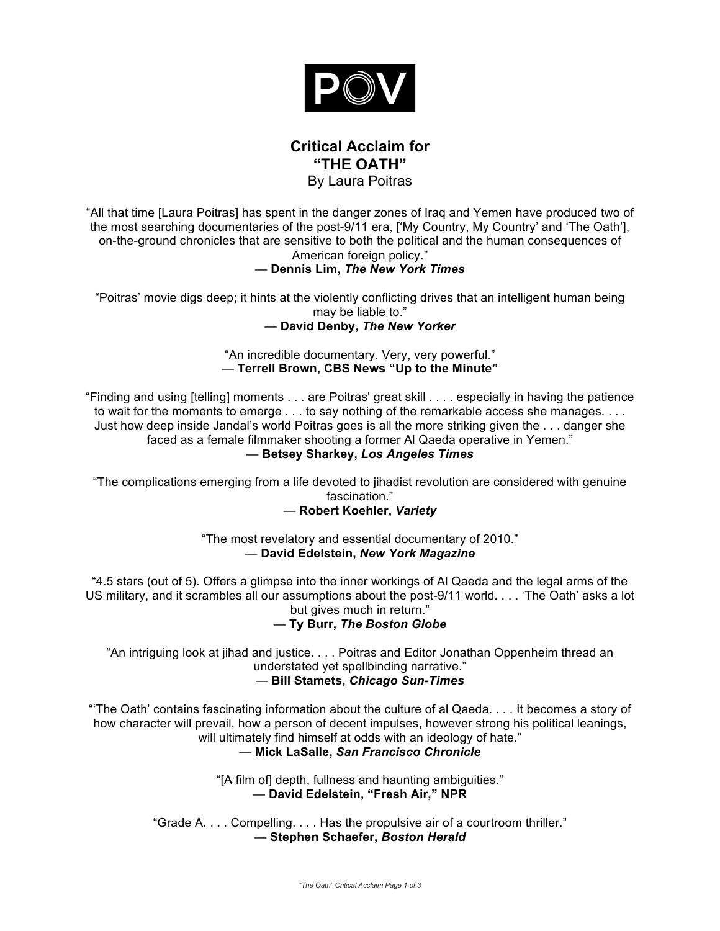

# **Critical Acclaim for "THE OATH"** By Laura Poitras

"All that time [Laura Poitras] has spent in the danger zones of Iraq and Yemen have produced two of the most searching documentaries of the post-9/11 era, ['My Country, My Country' and 'The Oath'], on-the-ground chronicles that are sensitive to both the political and the human consequences of American foreign policy."

# — **Dennis Lim,** *The New York Times*

"Poitras' movie digs deep; it hints at the violently conflicting drives that an intelligent human being may be liable to."

## — **David Denby,** *The New Yorker*

## "An incredible documentary. Very, very powerful." — **Terrell Brown, CBS News "Up to the Minute"**

"Finding and using [telling] moments . . . are Poitras' great skill . . . . especially in having the patience to wait for the moments to emerge . . . to say nothing of the remarkable access she manages. . . . Just how deep inside Jandal's world Poitras goes is all the more striking given the . . . danger she faced as a female filmmaker shooting a former Al Qaeda operative in Yemen."

# — **Betsey Sharkey,** *Los Angeles Times*

"The complications emerging from a life devoted to jihadist revolution are considered with genuine fascination."

# — **Robert Koehler,** *Variety*

"The most revelatory and essential documentary of 2010." — **David Edelstein,** *New York Magazine*

"4.5 stars (out of 5). Offers a glimpse into the inner workings of Al Qaeda and the legal arms of the US military, and it scrambles all our assumptions about the post-9/11 world. . . . 'The Oath' asks a lot but gives much in return."

# — **Ty Burr,** *The Boston Globe*

"An intriguing look at jihad and justice. . . . Poitras and Editor Jonathan Oppenheim thread an understated yet spellbinding narrative." — **Bill Stamets,** *Chicago Sun-Times*

"'The Oath' contains fascinating information about the culture of al Qaeda. . . . It becomes a story of how character will prevail, how a person of decent impulses, however strong his political leanings, will ultimately find himself at odds with an ideology of hate." — **Mick LaSalle,** *San Francisco Chronicle*

> "[A film of] depth, fullness and haunting ambiguities." — **David Edelstein, "Fresh Air," NPR**

"Grade A. . . . Compelling. . . . Has the propulsive air of a courtroom thriller." — **Stephen Schaefer,** *Boston Herald*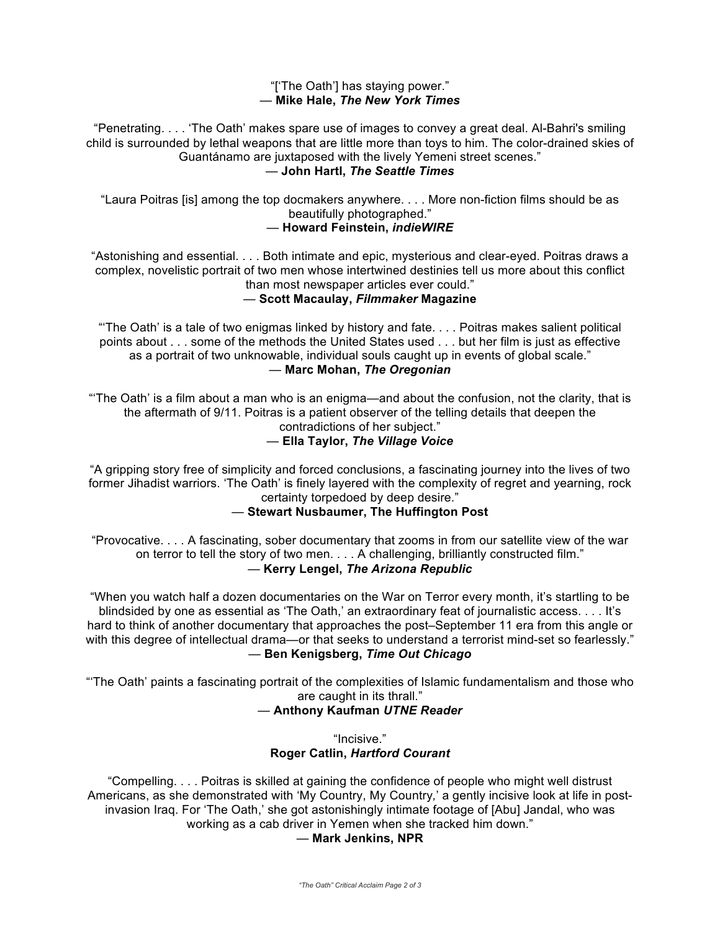### "['The Oath'] has staying power." — **Mike Hale,** *The New York Times*

"Penetrating. . . . 'The Oath' makes spare use of images to convey a great deal. Al-Bahri's smiling child is surrounded by lethal weapons that are little more than toys to him. The color-drained skies of Guantánamo are juxtaposed with the lively Yemeni street scenes."

#### — **John Hartl,** *The Seattle Times*

"Laura Poitras [is] among the top docmakers anywhere. . . . More non-fiction films should be as beautifully photographed."

#### — **Howard Feinstein,** *indieWIRE*

"Astonishing and essential. . . . Both intimate and epic, mysterious and clear-eyed. Poitras draws a complex, novelistic portrait of two men whose intertwined destinies tell us more about this conflict than most newspaper articles ever could."

## — **Scott Macaulay,** *Filmmaker* **Magazine**

"'The Oath' is a tale of two enigmas linked by history and fate. . . . Poitras makes salient political points about . . . some of the methods the United States used . . . but her film is just as effective as a portrait of two unknowable, individual souls caught up in events of global scale." — **Marc Mohan,** *The Oregonian*

"'The Oath' is a film about a man who is an enigma—and about the confusion, not the clarity, that is the aftermath of 9/11. Poitras is a patient observer of the telling details that deepen the contradictions of her subject."

# — **Ella Taylor,** *The Village Voice*

"A gripping story free of simplicity and forced conclusions, a fascinating journey into the lives of two former Jihadist warriors. 'The Oath' is finely layered with the complexity of regret and yearning, rock certainty torpedoed by deep desire."

## — **Stewart Nusbaumer, The Huffington Post**

"Provocative. . . . A fascinating, sober documentary that zooms in from our satellite view of the war on terror to tell the story of two men. . . . A challenging, brilliantly constructed film." — **Kerry Lengel,** *The Arizona Republic*

"When you watch half a dozen documentaries on the War on Terror every month, it's startling to be blindsided by one as essential as 'The Oath,' an extraordinary feat of journalistic access. . . . It's hard to think of another documentary that approaches the post–September 11 era from this angle or with this degree of intellectual drama—or that seeks to understand a terrorist mind-set so fearlessly." — **Ben Kenigsberg,** *Time Out Chicago*

"'The Oath' paints a fascinating portrait of the complexities of Islamic fundamentalism and those who are caught in its thrall."

# — **Anthony Kaufman** *UTNE Reader*

"Incisive." **Roger Catlin,** *Hartford Courant*

"Compelling. . . . Poitras is skilled at gaining the confidence of people who might well distrust Americans, as she demonstrated with 'My Country, My Country*,*' a gently incisive look at life in postinvasion Iraq. For 'The Oath,' she got astonishingly intimate footage of [Abu] Jandal, who was working as a cab driver in Yemen when she tracked him down."

## — **Mark Jenkins, NPR**